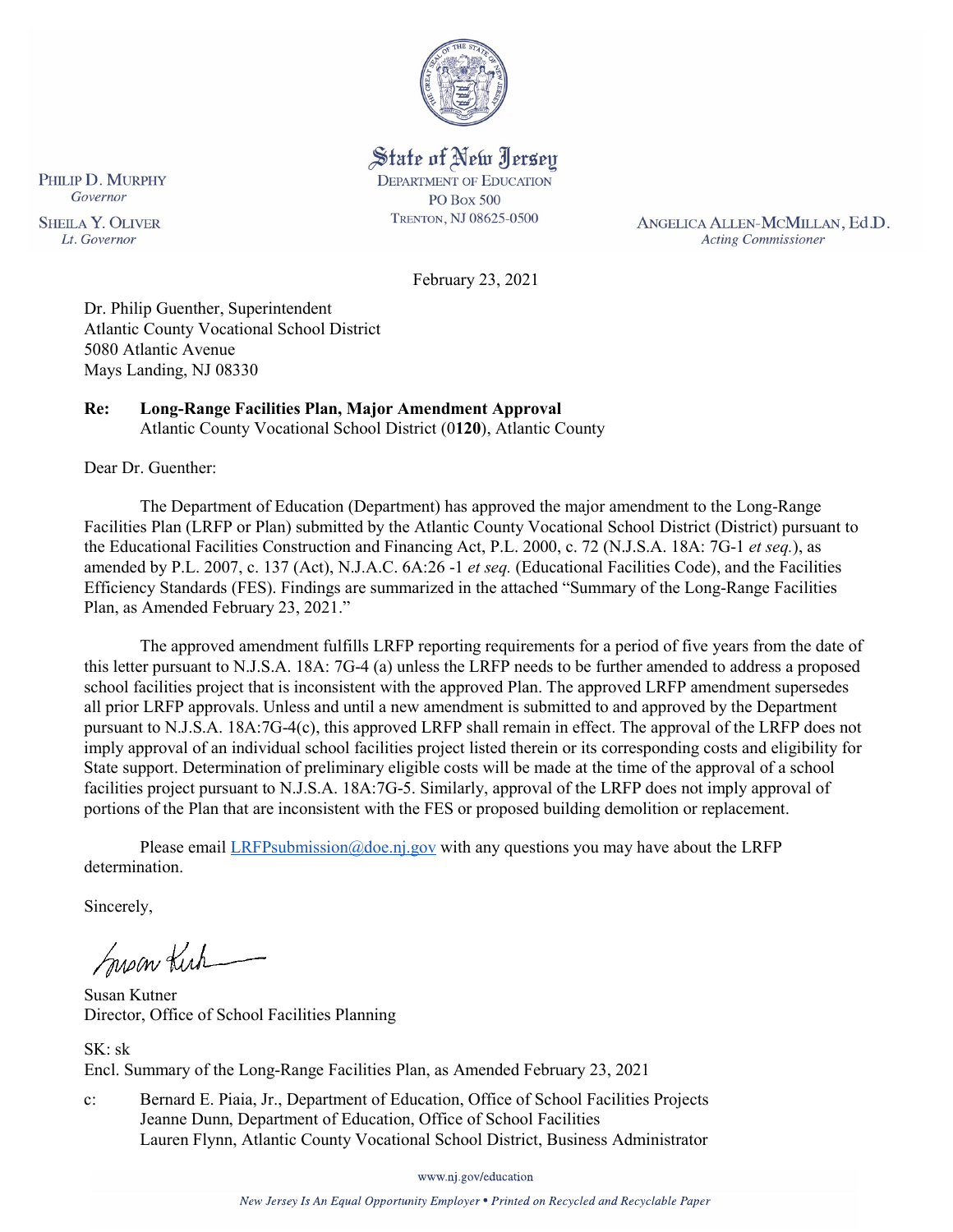

State of New Jersey **DEPARTMENT OF EDUCATION PO Box 500** TRENTON, NJ 08625-0500

ANGELICA ALLEN-MCMILLAN, Ed.D. **Acting Commissioner** 

February 23, 2021

Dr. Philip Guenther, Superintendent Atlantic County Vocational School District 5080 Atlantic Avenue Mays Landing, NJ 08330

## **Re: Long-Range Facilities Plan, Major Amendment Approval**

Atlantic County Vocational School District (0**120**), Atlantic County

Dear Dr. Guenther:

The Department of Education (Department) has approved the major amendment to the Long-Range Facilities Plan (LRFP or Plan) submitted by the Atlantic County Vocational School District (District) pursuant to the Educational Facilities Construction and Financing Act, P.L. 2000, c. 72 (N.J.S.A. 18A: 7G-1 *et seq.*), as amended by P.L. 2007, c. 137 (Act), N.J.A.C. 6A:26 -1 *et seq.* (Educational Facilities Code), and the Facilities Efficiency Standards (FES). Findings are summarized in the attached "Summary of the Long-Range Facilities Plan, as Amended February 23, 2021."

The approved amendment fulfills LRFP reporting requirements for a period of five years from the date of this letter pursuant to N.J.S.A. 18A: 7G-4 (a) unless the LRFP needs to be further amended to address a proposed school facilities project that is inconsistent with the approved Plan. The approved LRFP amendment supersedes all prior LRFP approvals. Unless and until a new amendment is submitted to and approved by the Department pursuant to N.J.S.A. 18A:7G-4(c), this approved LRFP shall remain in effect. The approval of the LRFP does not imply approval of an individual school facilities project listed therein or its corresponding costs and eligibility for State support. Determination of preliminary eligible costs will be made at the time of the approval of a school facilities project pursuant to N.J.S.A. 18A:7G-5. Similarly, approval of the LRFP does not imply approval of portions of the Plan that are inconsistent with the FES or proposed building demolition or replacement.

Please email *LRFPsubmission@doe.nj.gov* with any questions you may have about the LRFP determination.

Sincerely,

Susan Kich

Susan Kutner Director, Office of School Facilities Planning

SK: sk Encl. Summary of the Long-Range Facilities Plan, as Amended February 23, 2021

c: Bernard E. Piaia, Jr., Department of Education, Office of School Facilities Projects Jeanne Dunn, Department of Education, Office of School Facilities Lauren Flynn, Atlantic County Vocational School District, Business Administrator

www.nj.gov/education

New Jersey Is An Equal Opportunity Employer . Printed on Recycled and Recyclable Paper

PHILIP D. MURPHY Governor **SHEILA Y. OLIVER** Lt. Governor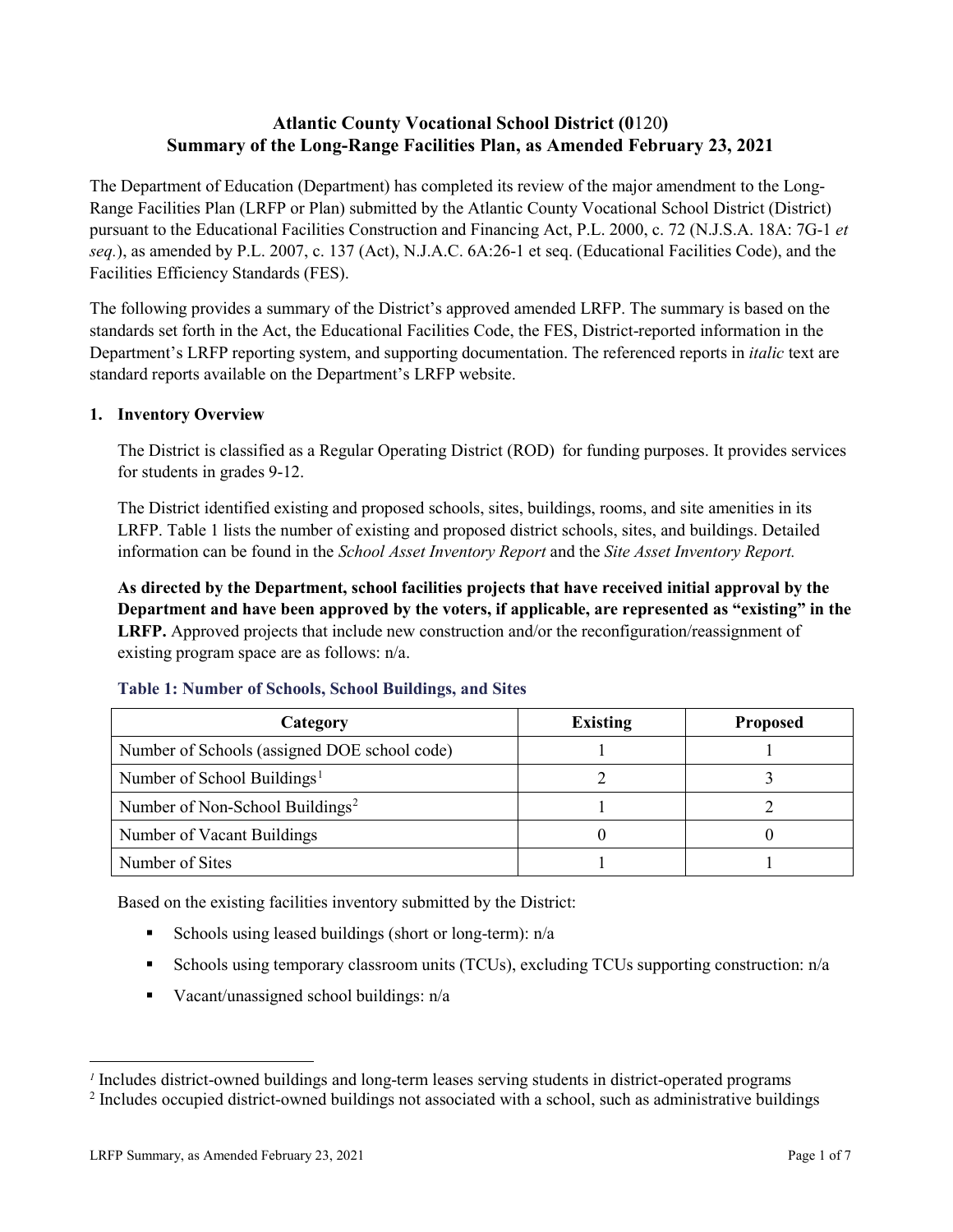# **Atlantic County Vocational School District (0**120**) Summary of the Long-Range Facilities Plan, as Amended February 23, 2021**

The Department of Education (Department) has completed its review of the major amendment to the Long-Range Facilities Plan (LRFP or Plan) submitted by the Atlantic County Vocational School District (District) pursuant to the Educational Facilities Construction and Financing Act, P.L. 2000, c. 72 (N.J.S.A. 18A: 7G-1 *et seq.*), as amended by P.L. 2007, c. 137 (Act), N.J.A.C. 6A:26-1 et seq. (Educational Facilities Code), and the Facilities Efficiency Standards (FES).

The following provides a summary of the District's approved amended LRFP. The summary is based on the standards set forth in the Act, the Educational Facilities Code, the FES, District-reported information in the Department's LRFP reporting system, and supporting documentation. The referenced reports in *italic* text are standard reports available on the Department's LRFP website.

### **1. Inventory Overview**

The District is classified as a Regular Operating District (ROD) for funding purposes. It provides services for students in grades 9-12.

The District identified existing and proposed schools, sites, buildings, rooms, and site amenities in its LRFP. Table 1 lists the number of existing and proposed district schools, sites, and buildings. Detailed information can be found in the *School Asset Inventory Report* and the *Site Asset Inventory Report.*

**As directed by the Department, school facilities projects that have received initial approval by the Department and have been approved by the voters, if applicable, are represented as "existing" in the LRFP.** Approved projects that include new construction and/or the reconfiguration/reassignment of existing program space are as follows: n/a.

| Category                                     | <b>Existing</b> | <b>Proposed</b> |
|----------------------------------------------|-----------------|-----------------|
| Number of Schools (assigned DOE school code) |                 |                 |
| Number of School Buildings <sup>1</sup>      |                 |                 |
| Number of Non-School Buildings <sup>2</sup>  |                 |                 |
| Number of Vacant Buildings                   |                 |                 |
| Number of Sites                              |                 |                 |

#### **Table 1: Number of Schools, School Buildings, and Sites**

Based on the existing facilities inventory submitted by the District:

- Schools using leased buildings (short or long-term):  $n/a$
- Schools using temporary classroom units (TCUs), excluding TCUs supporting construction: n/a
- Vacant/unassigned school buildings:  $n/a$

 $\overline{a}$ 

<span id="page-1-1"></span><span id="page-1-0"></span>*<sup>1</sup>* Includes district-owned buildings and long-term leases serving students in district-operated programs

<sup>&</sup>lt;sup>2</sup> Includes occupied district-owned buildings not associated with a school, such as administrative buildings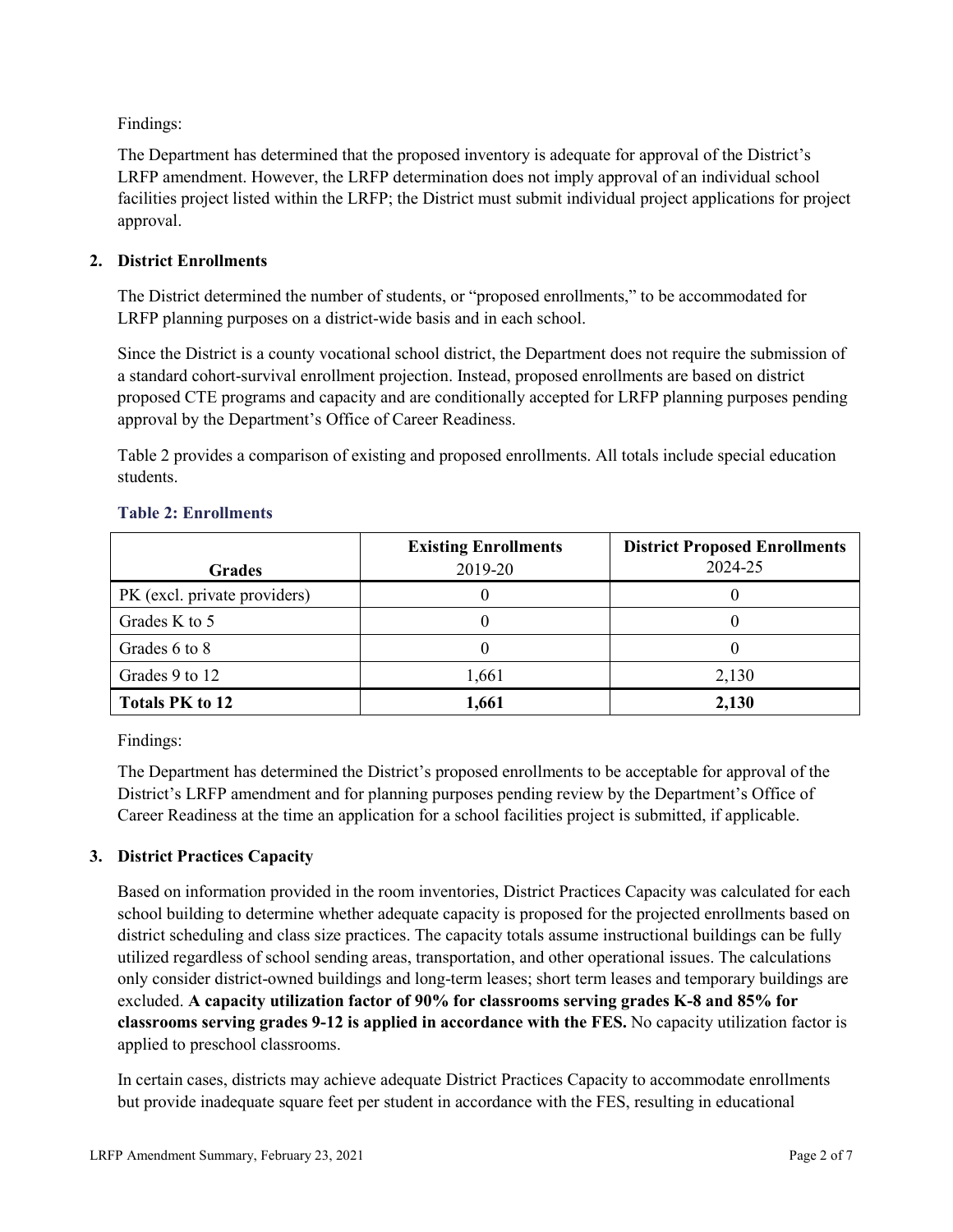Findings:

The Department has determined that the proposed inventory is adequate for approval of the District's LRFP amendment. However, the LRFP determination does not imply approval of an individual school facilities project listed within the LRFP; the District must submit individual project applications for project approval.

### **2. District Enrollments**

The District determined the number of students, or "proposed enrollments," to be accommodated for LRFP planning purposes on a district-wide basis and in each school.

Since the District is a county vocational school district, the Department does not require the submission of a standard cohort-survival enrollment projection. Instead, proposed enrollments are based on district proposed CTE programs and capacity and are conditionally accepted for LRFP planning purposes pending approval by the Department's Office of Career Readiness.

Table 2 provides a comparison of existing and proposed enrollments. All totals include special education students.

| <b>Grades</b>                | <b>Existing Enrollments</b><br>2019-20 | <b>District Proposed Enrollments</b><br>2024-25 |
|------------------------------|----------------------------------------|-------------------------------------------------|
|                              |                                        |                                                 |
| PK (excl. private providers) |                                        |                                                 |
| Grades K to 5                |                                        |                                                 |
| Grades 6 to 8                |                                        |                                                 |
| Grades 9 to 12               | 1,661                                  | 2,130                                           |
| <b>Totals PK to 12</b>       | 1,661                                  | 2,130                                           |

#### **Table 2: Enrollments**

Findings:

The Department has determined the District's proposed enrollments to be acceptable for approval of the District's LRFP amendment and for planning purposes pending review by the Department's Office of Career Readiness at the time an application for a school facilities project is submitted, if applicable.

### **3. District Practices Capacity**

Based on information provided in the room inventories, District Practices Capacity was calculated for each school building to determine whether adequate capacity is proposed for the projected enrollments based on district scheduling and class size practices. The capacity totals assume instructional buildings can be fully utilized regardless of school sending areas, transportation, and other operational issues. The calculations only consider district-owned buildings and long-term leases; short term leases and temporary buildings are excluded. **A capacity utilization factor of 90% for classrooms serving grades K-8 and 85% for classrooms serving grades 9-12 is applied in accordance with the FES.** No capacity utilization factor is applied to preschool classrooms.

In certain cases, districts may achieve adequate District Practices Capacity to accommodate enrollments but provide inadequate square feet per student in accordance with the FES, resulting in educational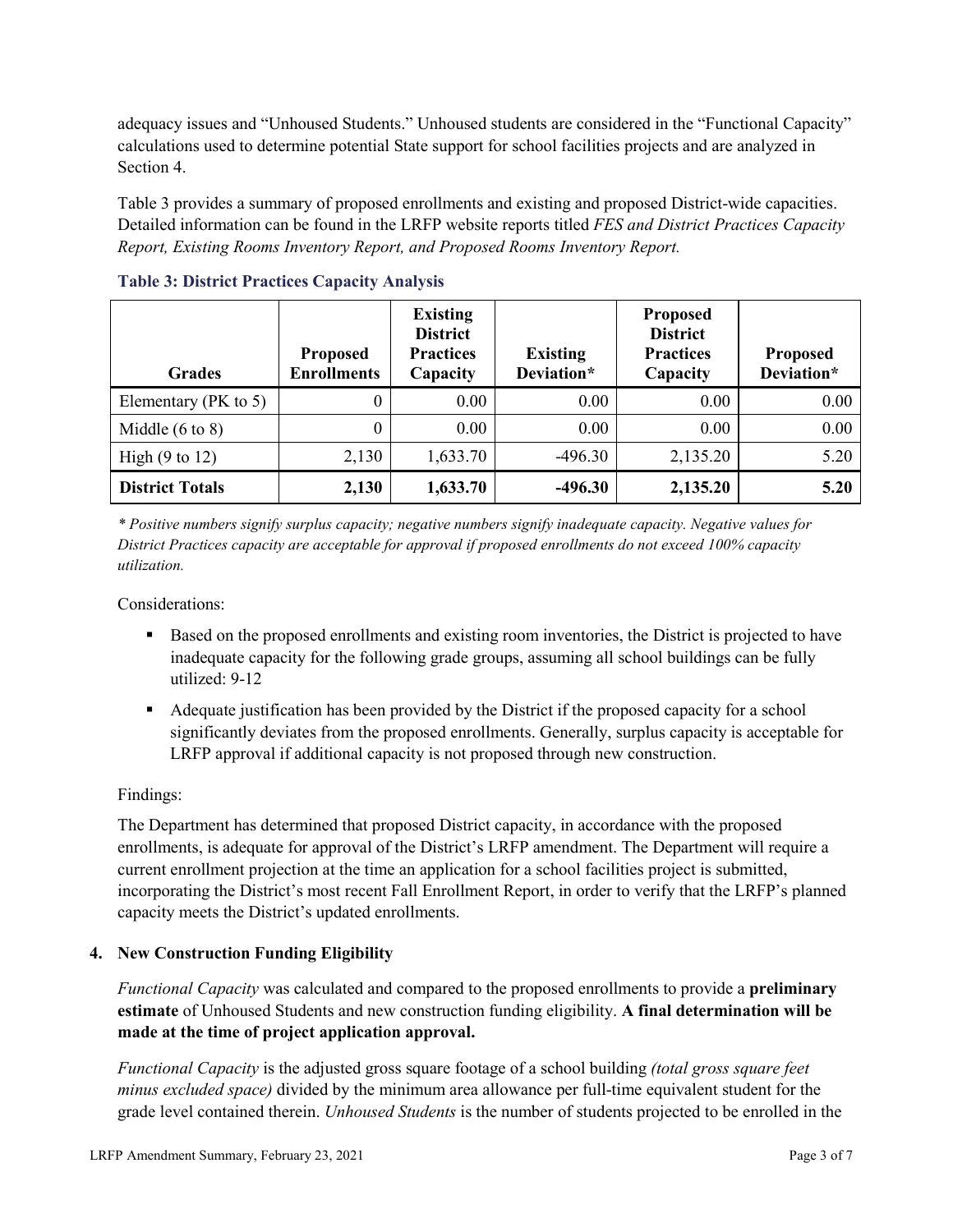adequacy issues and "Unhoused Students." Unhoused students are considered in the "Functional Capacity" calculations used to determine potential State support for school facilities projects and are analyzed in Section 4.

Table 3 provides a summary of proposed enrollments and existing and proposed District-wide capacities. Detailed information can be found in the LRFP website reports titled *FES and District Practices Capacity Report, Existing Rooms Inventory Report, and Proposed Rooms Inventory Report.*

| <b>Grades</b>              | <b>Proposed</b><br><b>Enrollments</b> | <b>Existing</b><br><b>District</b><br><b>Practices</b><br>Capacity | <b>Existing</b><br>Deviation* | <b>Proposed</b><br><b>District</b><br><b>Practices</b><br>Capacity | <b>Proposed</b><br>Deviation* |
|----------------------------|---------------------------------------|--------------------------------------------------------------------|-------------------------------|--------------------------------------------------------------------|-------------------------------|
| Elementary ( $PK$ to 5)    | 0                                     | 0.00                                                               | 0.00                          | 0.00                                                               | 0.00                          |
| Middle $(6 \text{ to } 8)$ | 0                                     | 0.00                                                               | 0.00                          | 0.00                                                               | 0.00                          |
| High $(9 \text{ to } 12)$  | 2,130                                 | 1,633.70                                                           | $-496.30$                     | 2,135.20                                                           | 5.20                          |
| <b>District Totals</b>     | 2,130                                 | 1,633.70                                                           | $-496.30$                     | 2,135.20                                                           | 5.20                          |

**Table 3: District Practices Capacity Analysis**

*\* Positive numbers signify surplus capacity; negative numbers signify inadequate capacity. Negative values for District Practices capacity are acceptable for approval if proposed enrollments do not exceed 100% capacity utilization.*

Considerations:

- Based on the proposed enrollments and existing room inventories, the District is projected to have inadequate capacity for the following grade groups, assuming all school buildings can be fully utilized: 9-12
- Adequate justification has been provided by the District if the proposed capacity for a school significantly deviates from the proposed enrollments. Generally, surplus capacity is acceptable for LRFP approval if additional capacity is not proposed through new construction.

### Findings:

The Department has determined that proposed District capacity, in accordance with the proposed enrollments, is adequate for approval of the District's LRFP amendment. The Department will require a current enrollment projection at the time an application for a school facilities project is submitted, incorporating the District's most recent Fall Enrollment Report, in order to verify that the LRFP's planned capacity meets the District's updated enrollments.

#### **4. New Construction Funding Eligibility**

*Functional Capacity* was calculated and compared to the proposed enrollments to provide a **preliminary estimate** of Unhoused Students and new construction funding eligibility. **A final determination will be made at the time of project application approval.**

*Functional Capacity* is the adjusted gross square footage of a school building *(total gross square feet minus excluded space)* divided by the minimum area allowance per full-time equivalent student for the grade level contained therein. *Unhoused Students* is the number of students projected to be enrolled in the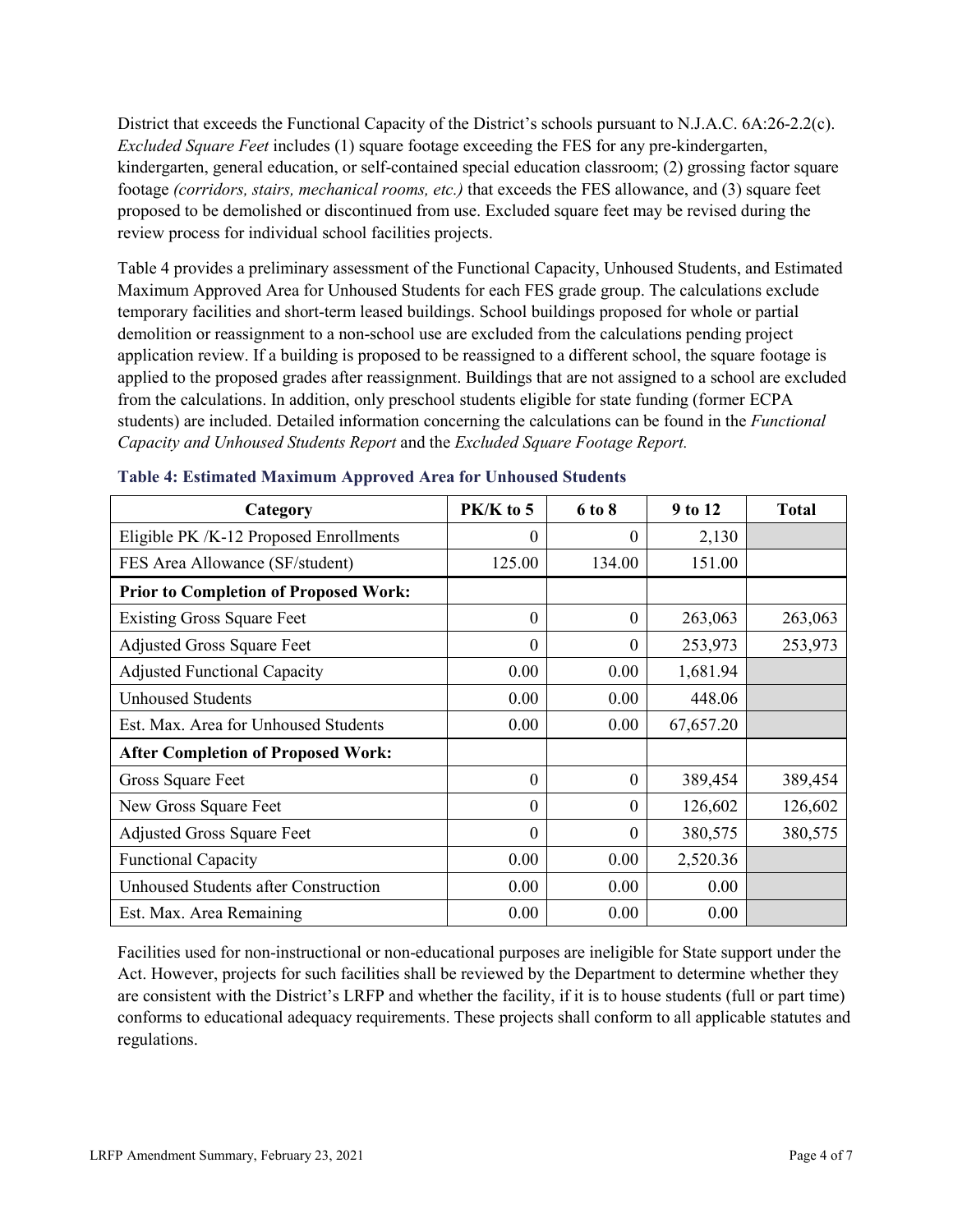District that exceeds the Functional Capacity of the District's schools pursuant to N.J.A.C. 6A:26-2.2(c). *Excluded Square Feet* includes (1) square footage exceeding the FES for any pre-kindergarten, kindergarten, general education, or self-contained special education classroom; (2) grossing factor square footage *(corridors, stairs, mechanical rooms, etc.)* that exceeds the FES allowance, and (3) square feet proposed to be demolished or discontinued from use. Excluded square feet may be revised during the review process for individual school facilities projects.

Table 4 provides a preliminary assessment of the Functional Capacity, Unhoused Students, and Estimated Maximum Approved Area for Unhoused Students for each FES grade group. The calculations exclude temporary facilities and short-term leased buildings. School buildings proposed for whole or partial demolition or reassignment to a non-school use are excluded from the calculations pending project application review. If a building is proposed to be reassigned to a different school, the square footage is applied to the proposed grades after reassignment. Buildings that are not assigned to a school are excluded from the calculations. In addition, only preschool students eligible for state funding (former ECPA students) are included. Detailed information concerning the calculations can be found in the *Functional Capacity and Unhoused Students Report* and the *Excluded Square Footage Report.*

| Category                                     | PK/K to 5 | 6 to 8   | 9 to 12   | <b>Total</b> |
|----------------------------------------------|-----------|----------|-----------|--------------|
| Eligible PK /K-12 Proposed Enrollments       | 0         | $\theta$ | 2,130     |              |
| FES Area Allowance (SF/student)              | 125.00    | 134.00   | 151.00    |              |
| <b>Prior to Completion of Proposed Work:</b> |           |          |           |              |
| <b>Existing Gross Square Feet</b>            | $\theta$  | $\theta$ | 263,063   | 263,063      |
| <b>Adjusted Gross Square Feet</b>            | $\theta$  | $\theta$ | 253,973   | 253,973      |
| <b>Adjusted Functional Capacity</b>          | 0.00      | 0.00     | 1,681.94  |              |
| <b>Unhoused Students</b>                     | 0.00      | 0.00     | 448.06    |              |
| Est. Max. Area for Unhoused Students         | 0.00      | 0.00     | 67,657.20 |              |
| <b>After Completion of Proposed Work:</b>    |           |          |           |              |
| Gross Square Feet                            | $\theta$  | $\theta$ | 389,454   | 389,454      |
| New Gross Square Feet                        | $\theta$  | $\theta$ | 126,602   | 126,602      |
| <b>Adjusted Gross Square Feet</b>            | $\theta$  | $\theta$ | 380,575   | 380,575      |
| <b>Functional Capacity</b>                   | 0.00      | 0.00     | 2,520.36  |              |
| <b>Unhoused Students after Construction</b>  | 0.00      | 0.00     | 0.00      |              |
| Est. Max. Area Remaining                     | 0.00      | 0.00     | 0.00      |              |

#### **Table 4: Estimated Maximum Approved Area for Unhoused Students**

Facilities used for non-instructional or non-educational purposes are ineligible for State support under the Act. However, projects for such facilities shall be reviewed by the Department to determine whether they are consistent with the District's LRFP and whether the facility, if it is to house students (full or part time) conforms to educational adequacy requirements. These projects shall conform to all applicable statutes and regulations.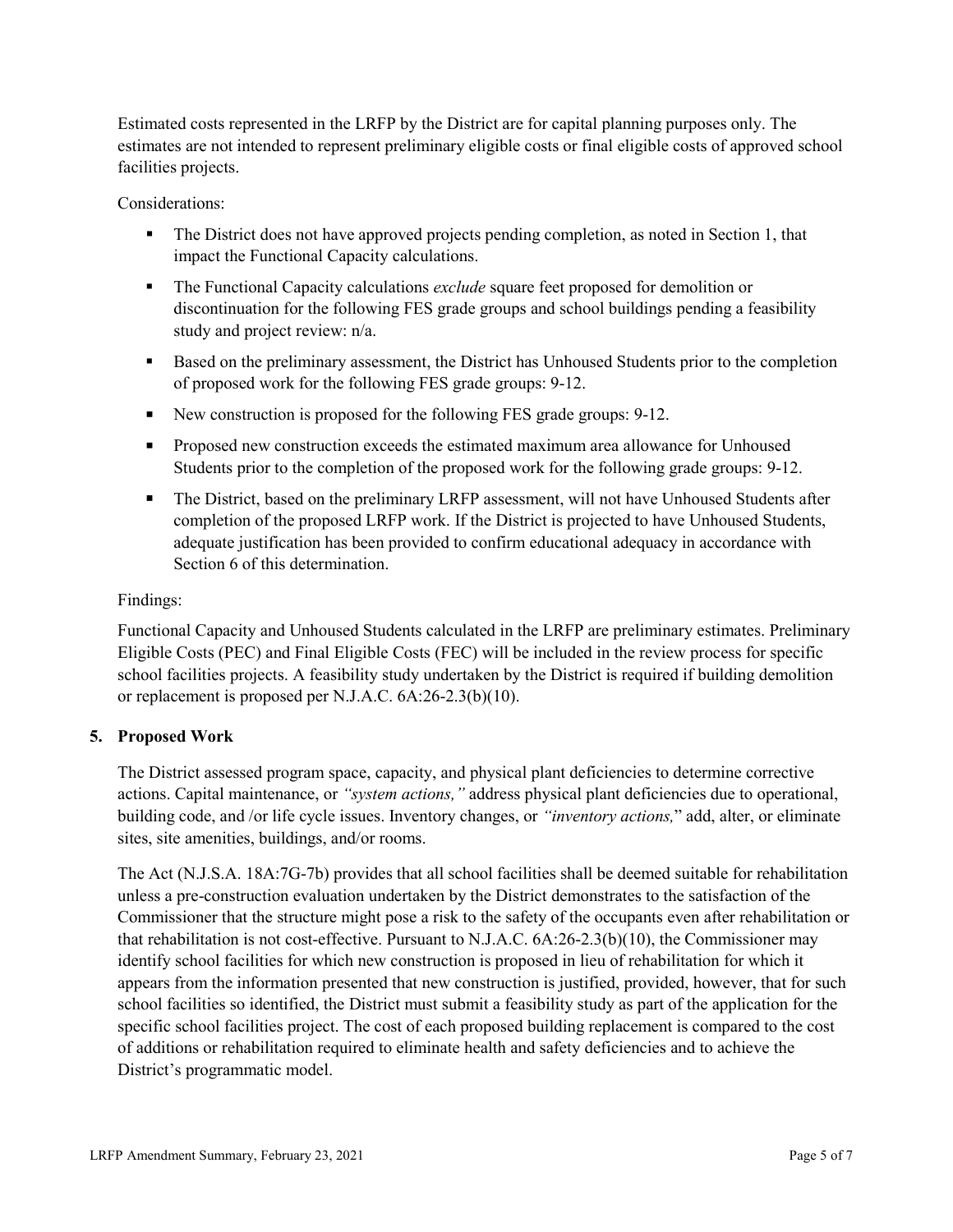Estimated costs represented in the LRFP by the District are for capital planning purposes only. The estimates are not intended to represent preliminary eligible costs or final eligible costs of approved school facilities projects.

Considerations:

- The District does not have approved projects pending completion, as noted in Section 1, that impact the Functional Capacity calculations.
- The Functional Capacity calculations *exclude* square feet proposed for demolition or discontinuation for the following FES grade groups and school buildings pending a feasibility study and project review: n/a.
- Based on the preliminary assessment, the District has Unhoused Students prior to the completion of proposed work for the following FES grade groups: 9-12.
- New construction is proposed for the following FES grade groups: 9-12.
- Proposed new construction exceeds the estimated maximum area allowance for Unhoused Students prior to the completion of the proposed work for the following grade groups: 9-12.
- The District, based on the preliminary LRFP assessment, will not have Unhoused Students after completion of the proposed LRFP work. If the District is projected to have Unhoused Students, adequate justification has been provided to confirm educational adequacy in accordance with Section 6 of this determination.

### Findings:

Functional Capacity and Unhoused Students calculated in the LRFP are preliminary estimates. Preliminary Eligible Costs (PEC) and Final Eligible Costs (FEC) will be included in the review process for specific school facilities projects. A feasibility study undertaken by the District is required if building demolition or replacement is proposed per N.J.A.C. 6A:26-2.3(b)(10).

### **5. Proposed Work**

The District assessed program space, capacity, and physical plant deficiencies to determine corrective actions. Capital maintenance, or *"system actions,"* address physical plant deficiencies due to operational, building code, and /or life cycle issues. Inventory changes, or *"inventory actions,*" add, alter, or eliminate sites, site amenities, buildings, and/or rooms.

The Act (N.J.S.A. 18A:7G-7b) provides that all school facilities shall be deemed suitable for rehabilitation unless a pre-construction evaluation undertaken by the District demonstrates to the satisfaction of the Commissioner that the structure might pose a risk to the safety of the occupants even after rehabilitation or that rehabilitation is not cost-effective. Pursuant to N.J.A.C. 6A:26-2.3(b)(10), the Commissioner may identify school facilities for which new construction is proposed in lieu of rehabilitation for which it appears from the information presented that new construction is justified, provided, however, that for such school facilities so identified, the District must submit a feasibility study as part of the application for the specific school facilities project. The cost of each proposed building replacement is compared to the cost of additions or rehabilitation required to eliminate health and safety deficiencies and to achieve the District's programmatic model.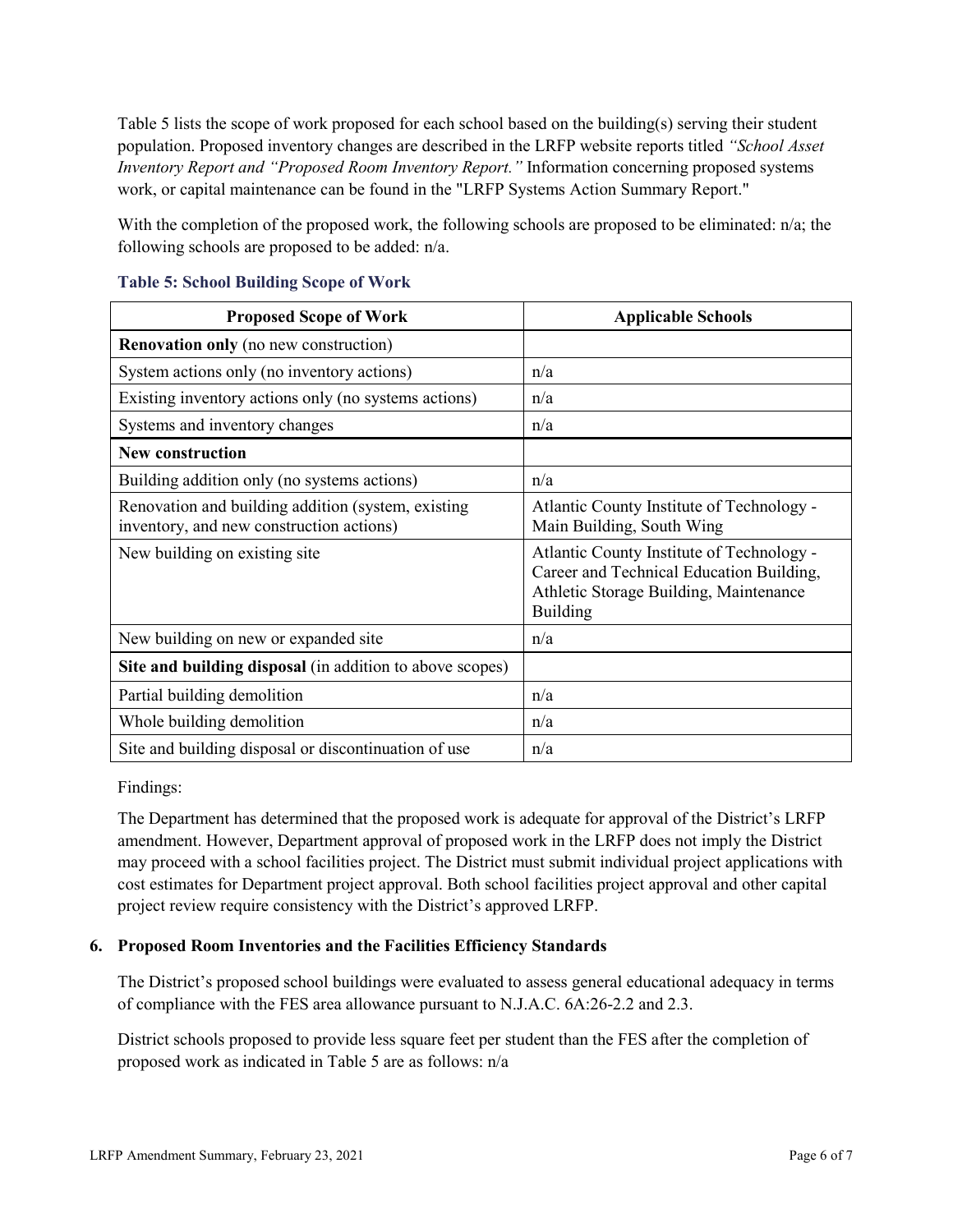Table 5 lists the scope of work proposed for each school based on the building(s) serving their student population. Proposed inventory changes are described in the LRFP website reports titled *"School Asset Inventory Report and "Proposed Room Inventory Report."* Information concerning proposed systems work, or capital maintenance can be found in the "LRFP Systems Action Summary Report."

With the completion of the proposed work, the following schools are proposed to be eliminated: n/a; the following schools are proposed to be added: n/a.

| <b>Proposed Scope of Work</b>                                                                  | <b>Applicable Schools</b>                                                                                                                   |
|------------------------------------------------------------------------------------------------|---------------------------------------------------------------------------------------------------------------------------------------------|
| <b>Renovation only</b> (no new construction)                                                   |                                                                                                                                             |
| System actions only (no inventory actions)                                                     | n/a                                                                                                                                         |
| Existing inventory actions only (no systems actions)                                           | n/a                                                                                                                                         |
| Systems and inventory changes                                                                  | n/a                                                                                                                                         |
| <b>New construction</b>                                                                        |                                                                                                                                             |
| Building addition only (no systems actions)                                                    | n/a                                                                                                                                         |
| Renovation and building addition (system, existing<br>inventory, and new construction actions) | Atlantic County Institute of Technology -<br>Main Building, South Wing                                                                      |
| New building on existing site                                                                  | Atlantic County Institute of Technology -<br>Career and Technical Education Building,<br>Athletic Storage Building, Maintenance<br>Building |
| New building on new or expanded site                                                           | n/a                                                                                                                                         |
| Site and building disposal (in addition to above scopes)                                       |                                                                                                                                             |
| Partial building demolition                                                                    | n/a                                                                                                                                         |
| Whole building demolition                                                                      | n/a                                                                                                                                         |
| Site and building disposal or discontinuation of use                                           | n/a                                                                                                                                         |

#### **Table 5: School Building Scope of Work**

Findings:

The Department has determined that the proposed work is adequate for approval of the District's LRFP amendment. However, Department approval of proposed work in the LRFP does not imply the District may proceed with a school facilities project. The District must submit individual project applications with cost estimates for Department project approval. Both school facilities project approval and other capital project review require consistency with the District's approved LRFP.

### **6. Proposed Room Inventories and the Facilities Efficiency Standards**

The District's proposed school buildings were evaluated to assess general educational adequacy in terms of compliance with the FES area allowance pursuant to N.J.A.C. 6A:26-2.2 and 2.3.

District schools proposed to provide less square feet per student than the FES after the completion of proposed work as indicated in Table 5 are as follows: n/a